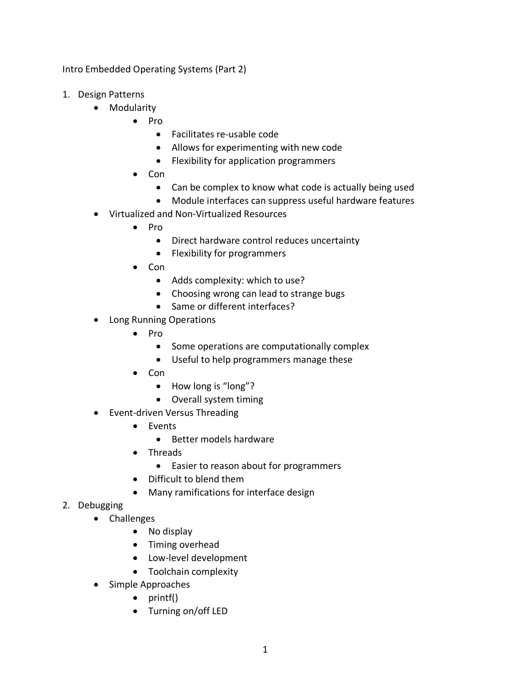Intro Embedded Operating Systems (Part 2)

- 1. Design Patterns
	- Modularity
		- Pro
			- Facilitates re-usable code
			- Allows for experimenting with new code
			- Flexibility for application programmers
		- Con
			- Can be complex to know what code is actually being used
			- Module interfaces can suppress useful hardware features
	- Virtualized and Non-Virtualized Resources
		- Pro
			- Direct hardware control reduces uncertainty
			- Flexibility for programmers
		- Con
			- Adds complexity: which to use?
			- Choosing wrong can lead to strange bugs
			- Same or different interfaces?
	- Long Running Operations
		- Pro
			- Some operations are computationally complex
			- Useful to help programmers manage these
		- Con
			- How long is "long"?
			- Overall system timing
	- Event-driven Versus Threading
		- Events
			- Better models hardware
		- Threads
			- Easier to reason about for programmers
		- Difficult to blend them
		- Many ramifications for interface design
- 2. Debugging
	- Challenges
		- No display
		- Timing overhead
		- Low-level development
		- Toolchain complexity
	- Simple Approaches
		- printf()
		- Turning on/off LED